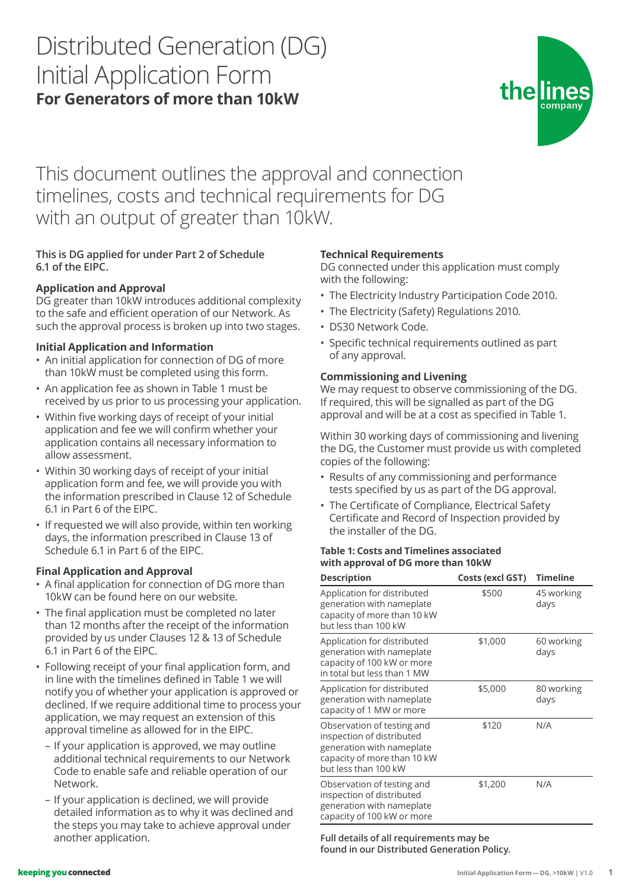# Distributed Generation (DG) Initial Application Form **For Generators of more than 10kW**



This document outlines the approval and connection timelines, costs and technical requirements for DG with an output of greater than 10kW.

# **This is DG applied for under Part 2 of Schedule 6.1 of the EIPC.**

## **Application and Approval**

DG greater than 10kW introduces additional complexity to the safe and efficient operation of our Network. As such the approval process is broken up into two stages.

#### **Initial Application and Information**

- An initial application for connection of DG of more than 10kW must be completed using this form.
- An application fee as shown in Table 1 must be received by us prior to us processing your application.
- Within five working days of receipt of your initial application and fee we will confirm whether your application contains all necessary information to allow assessment.
- Within 30 working days of receipt of your initial application form and fee, we will provide you with the information prescribed in Clause 12 of Schedule 6.1 in Part 6 of the EIPC.
- If requested we will also provide, within ten working days, the information prescribed in Clause 13 of Schedule 6.1 in Part 6 of the EIPC.

### **Final Application and Approval**

- A final application for connection of DG more than 10kW can be found here on our website.
- The final application must be completed no later than 12 months after the receipt of the information provided by us under Clauses 12 & 13 of Schedule 6.1 in Part 6 of the EIPC.
- Following receipt of your final application form, and in line with the timelines defined in Table 1 we will notify you of whether your application is approved or declined. If we require additional time to process your application, we may request an extension of this approval timeline as allowed for in the EIPC.
	- If your application is approved, we may outline additional technical requirements to our Network Code to enable safe and reliable operation of our Network.
	- If your application is declined, we will provide detailed information as to why it was declined and the steps you may take to achieve approval under another application.

### **Technical Requirements**

DG connected under this application must comply with the following:

- The Electricity Industry Participation Code 2010.
- The Electricity (Safety) Regulations 2010.
- DS30 Network Code.
- Specific technical requirements outlined as part of any approval.

#### **Commissioning and Livening**

We may request to observe commissioning of the DG. If required, this will be signalled as part of the DG approval and will be at a cost as specified in Table 1.

Within 30 working days of commissioning and livening the DG, the Customer must provide us with completed copies of the following:

- Results of any commissioning and performance tests specified by us as part of the DG approval.
- The Certificate of Compliance, Electrical Safety Certificate and Record of Inspection provided by the installer of the DG.

#### **Table 1: Costs and Timelines associated with approval of DG more than 10kW**

| <b>Description</b>                                                                                                                          | Costs (excl GST) | <b>Timeline</b>    |
|---------------------------------------------------------------------------------------------------------------------------------------------|------------------|--------------------|
| Application for distributed<br>generation with nameplate<br>capacity of more than 10 kW<br>but less than 100 kW                             | \$500            | 45 working<br>days |
| Application for distributed<br>generation with nameplate<br>capacity of 100 kW or more<br>in total but less than 1 MW                       | \$1,000          | 60 working<br>days |
| Application for distributed<br>generation with nameplate<br>capacity of 1 MW or more                                                        | \$5,000          | 80 working<br>days |
| Observation of testing and<br>inspection of distributed<br>generation with nameplate<br>capacity of more than 10 kW<br>but less than 100 kW | \$120            | N/A                |
| Observation of testing and<br>inspection of distributed<br>generation with nameplate<br>capacity of 100 kW or more                          | \$1,200          | N/A                |

**Full details of all requirements may be found in our Distributed Generation Policy.**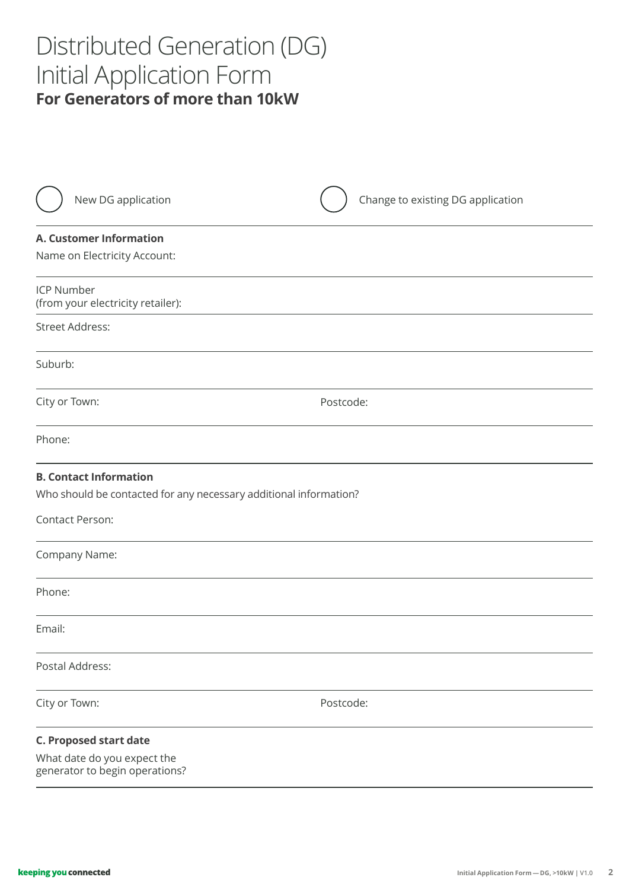# Distributed Generation (DG) Initial Application Form **For Generators of more than 10kW**

| New DG application                                                                                                    | Change to existing DG application |
|-----------------------------------------------------------------------------------------------------------------------|-----------------------------------|
| <b>A. Customer Information</b><br>Name on Electricity Account:                                                        |                                   |
| <b>ICP Number</b><br>(from your electricity retailer):                                                                |                                   |
| <b>Street Address:</b>                                                                                                |                                   |
| Suburb:                                                                                                               |                                   |
| City or Town:                                                                                                         | Postcode:                         |
| Phone:                                                                                                                |                                   |
| <b>B. Contact Information</b><br>Who should be contacted for any necessary additional information?<br>Contact Person: |                                   |
| Company Name:                                                                                                         |                                   |
| Phone:                                                                                                                |                                   |
| Email:                                                                                                                |                                   |
| Postal Address:                                                                                                       |                                   |
| City or Town:                                                                                                         | Postcode:                         |
| <b>C. Proposed start date</b><br>What date do you expect the<br>generator to begin operations?                        |                                   |